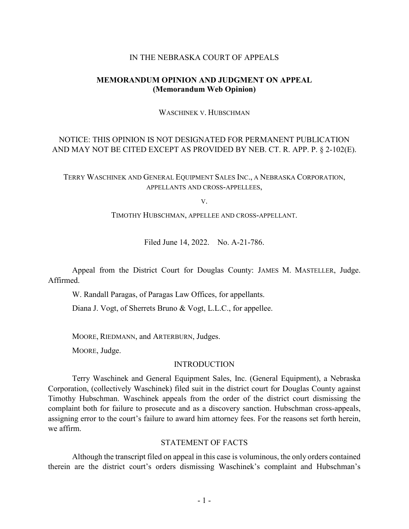## IN THE NEBRASKA COURT OF APPEALS

# **MEMORANDUM OPINION AND JUDGMENT ON APPEAL (Memorandum Web Opinion)**

WASCHINEK V. HUBSCHMAN

# NOTICE: THIS OPINION IS NOT DESIGNATED FOR PERMANENT PUBLICATION AND MAY NOT BE CITED EXCEPT AS PROVIDED BY NEB. CT. R. APP. P. § 2-102(E).

TERRY WASCHINEK AND GENERAL EQUIPMENT SALES INC., A NEBRASKA CORPORATION, APPELLANTS AND CROSS-APPELLEES,

V.

TIMOTHY HUBSCHMAN, APPELLEE AND CROSS-APPELLANT.

Filed June 14, 2022. No. A-21-786.

Appeal from the District Court for Douglas County: JAMES M. MASTELLER, Judge. Affirmed.

W. Randall Paragas, of Paragas Law Offices, for appellants.

Diana J. Vogt, of Sherrets Bruno & Vogt, L.L.C., for appellee.

MOORE, RIEDMANN, and ARTERBURN, Judges.

MOORE, Judge.

## **INTRODUCTION**

Terry Waschinek and General Equipment Sales, Inc. (General Equipment), a Nebraska Corporation, (collectively Waschinek) filed suit in the district court for Douglas County against Timothy Hubschman. Waschinek appeals from the order of the district court dismissing the complaint both for failure to prosecute and as a discovery sanction. Hubschman cross-appeals, assigning error to the court's failure to award him attorney fees. For the reasons set forth herein, we affirm.

### STATEMENT OF FACTS

Although the transcript filed on appeal in this case is voluminous, the only orders contained therein are the district court's orders dismissing Waschinek's complaint and Hubschman's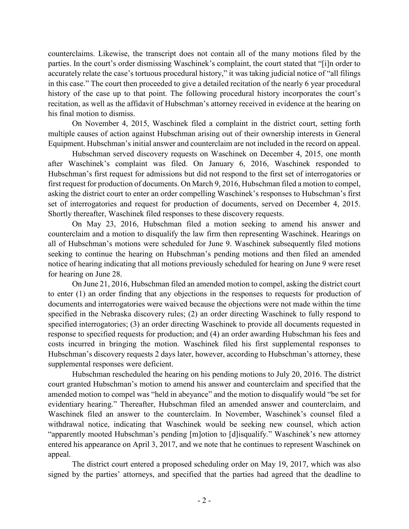counterclaims. Likewise, the transcript does not contain all of the many motions filed by the parties. In the court's order dismissing Waschinek's complaint, the court stated that "[i]n order to accurately relate the case's tortuous procedural history," it was taking judicial notice of "all filings in this case." The court then proceeded to give a detailed recitation of the nearly 6 year procedural history of the case up to that point. The following procedural history incorporates the court's recitation, as well as the affidavit of Hubschman's attorney received in evidence at the hearing on his final motion to dismiss.

On November 4, 2015, Waschinek filed a complaint in the district court, setting forth multiple causes of action against Hubschman arising out of their ownership interests in General Equipment. Hubschman's initial answer and counterclaim are not included in the record on appeal.

Hubschman served discovery requests on Waschinek on December 4, 2015, one month after Waschinek's complaint was filed. On January 6, 2016, Waschinek responded to Hubschman's first request for admissions but did not respond to the first set of interrogatories or first request for production of documents. On March 9, 2016, Hubschman filed a motion to compel, asking the district court to enter an order compelling Waschinek's responses to Hubschman's first set of interrogatories and request for production of documents, served on December 4, 2015. Shortly thereafter, Waschinek filed responses to these discovery requests.

On May 23, 2016, Hubschman filed a motion seeking to amend his answer and counterclaim and a motion to disqualify the law firm then representing Waschinek. Hearings on all of Hubschman's motions were scheduled for June 9. Waschinek subsequently filed motions seeking to continue the hearing on Hubschman's pending motions and then filed an amended notice of hearing indicating that all motions previously scheduled for hearing on June 9 were reset for hearing on June 28.

On June 21, 2016, Hubschman filed an amended motion to compel, asking the district court to enter (1) an order finding that any objections in the responses to requests for production of documents and interrogatories were waived because the objections were not made within the time specified in the Nebraska discovery rules; (2) an order directing Waschinek to fully respond to specified interrogatories; (3) an order directing Waschinek to provide all documents requested in response to specified requests for production; and (4) an order awarding Hubschman his fees and costs incurred in bringing the motion. Waschinek filed his first supplemental responses to Hubschman's discovery requests 2 days later, however, according to Hubschman's attorney, these supplemental responses were deficient.

Hubschman rescheduled the hearing on his pending motions to July 20, 2016. The district court granted Hubschman's motion to amend his answer and counterclaim and specified that the amended motion to compel was "held in abeyance" and the motion to disqualify would "be set for evidentiary hearing." Thereafter, Hubschman filed an amended answer and counterclaim, and Waschinek filed an answer to the counterclaim. In November, Waschinek's counsel filed a withdrawal notice, indicating that Waschinek would be seeking new counsel, which action "apparently mooted Hubschman's pending [m]otion to [d]isqualify." Waschinek's new attorney entered his appearance on April 3, 2017, and we note that he continues to represent Waschinek on appeal.

The district court entered a proposed scheduling order on May 19, 2017, which was also signed by the parties' attorneys, and specified that the parties had agreed that the deadline to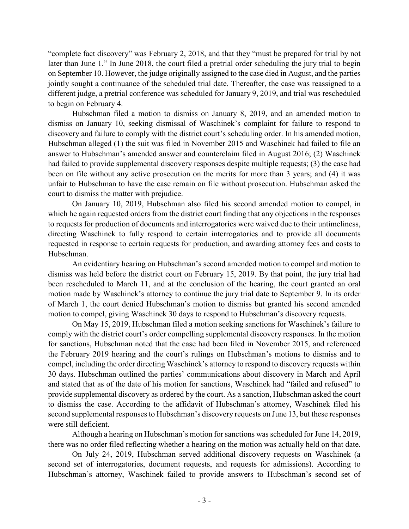"complete fact discovery" was February 2, 2018, and that they "must be prepared for trial by not later than June 1." In June 2018, the court filed a pretrial order scheduling the jury trial to begin on September 10. However, the judge originally assigned to the case died in August, and the parties jointly sought a continuance of the scheduled trial date. Thereafter, the case was reassigned to a different judge, a pretrial conference was scheduled for January 9, 2019, and trial was rescheduled to begin on February 4.

Hubschman filed a motion to dismiss on January 8, 2019, and an amended motion to dismiss on January 10, seeking dismissal of Waschinek's complaint for failure to respond to discovery and failure to comply with the district court's scheduling order. In his amended motion, Hubschman alleged (1) the suit was filed in November 2015 and Waschinek had failed to file an answer to Hubschman's amended answer and counterclaim filed in August 2016; (2) Waschinek had failed to provide supplemental discovery responses despite multiple requests; (3) the case had been on file without any active prosecution on the merits for more than 3 years; and (4) it was unfair to Hubschman to have the case remain on file without prosecution. Hubschman asked the court to dismiss the matter with prejudice.

On January 10, 2019, Hubschman also filed his second amended motion to compel, in which he again requested orders from the district court finding that any objections in the responses to requests for production of documents and interrogatories were waived due to their untimeliness, directing Waschinek to fully respond to certain interrogatories and to provide all documents requested in response to certain requests for production, and awarding attorney fees and costs to Hubschman.

An evidentiary hearing on Hubschman's second amended motion to compel and motion to dismiss was held before the district court on February 15, 2019. By that point, the jury trial had been rescheduled to March 11, and at the conclusion of the hearing, the court granted an oral motion made by Waschinek's attorney to continue the jury trial date to September 9. In its order of March 1, the court denied Hubschman's motion to dismiss but granted his second amended motion to compel, giving Waschinek 30 days to respond to Hubschman's discovery requests.

On May 15, 2019, Hubschman filed a motion seeking sanctions for Waschinek's failure to comply with the district court's order compelling supplemental discovery responses. In the motion for sanctions, Hubschman noted that the case had been filed in November 2015, and referenced the February 2019 hearing and the court's rulings on Hubschman's motions to dismiss and to compel, including the order directing Waschinek's attorney to respond to discovery requests within 30 days. Hubschman outlined the parties' communications about discovery in March and April and stated that as of the date of his motion for sanctions, Waschinek had "failed and refused" to provide supplemental discovery as ordered by the court. As a sanction, Hubschman asked the court to dismiss the case. According to the affidavit of Hubschman's attorney, Waschinek filed his second supplemental responses to Hubschman's discovery requests on June 13, but these responses were still deficient.

Although a hearing on Hubschman's motion for sanctions was scheduled for June 14, 2019, there was no order filed reflecting whether a hearing on the motion was actually held on that date.

On July 24, 2019, Hubschman served additional discovery requests on Waschinek (a second set of interrogatories, document requests, and requests for admissions). According to Hubschman's attorney, Waschinek failed to provide answers to Hubschman's second set of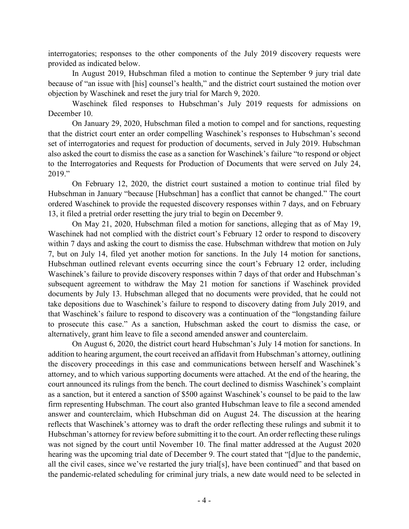interrogatories; responses to the other components of the July 2019 discovery requests were provided as indicated below.

In August 2019, Hubschman filed a motion to continue the September 9 jury trial date because of "an issue with [his] counsel's health," and the district court sustained the motion over objection by Waschinek and reset the jury trial for March 9, 2020.

Waschinek filed responses to Hubschman's July 2019 requests for admissions on December 10.

On January 29, 2020, Hubschman filed a motion to compel and for sanctions, requesting that the district court enter an order compelling Waschinek's responses to Hubschman's second set of interrogatories and request for production of documents, served in July 2019. Hubschman also asked the court to dismiss the case as a sanction for Waschinek's failure "to respond or object to the Interrogatories and Requests for Production of Documents that were served on July 24, 2019."

On February 12, 2020, the district court sustained a motion to continue trial filed by Hubschman in January "because [Hubschman] has a conflict that cannot be changed." The court ordered Waschinek to provide the requested discovery responses within 7 days, and on February 13, it filed a pretrial order resetting the jury trial to begin on December 9.

On May 21, 2020, Hubschman filed a motion for sanctions, alleging that as of May 19, Waschinek had not complied with the district court's February 12 order to respond to discovery within 7 days and asking the court to dismiss the case. Hubschman withdrew that motion on July 7, but on July 14, filed yet another motion for sanctions. In the July 14 motion for sanctions, Hubschman outlined relevant events occurring since the court's February 12 order, including Waschinek's failure to provide discovery responses within 7 days of that order and Hubschman's subsequent agreement to withdraw the May 21 motion for sanctions if Waschinek provided documents by July 13. Hubschman alleged that no documents were provided, that he could not take depositions due to Waschinek's failure to respond to discovery dating from July 2019, and that Waschinek's failure to respond to discovery was a continuation of the "longstanding failure to prosecute this case." As a sanction, Hubschman asked the court to dismiss the case, or alternatively, grant him leave to file a second amended answer and counterclaim.

On August 6, 2020, the district court heard Hubschman's July 14 motion for sanctions. In addition to hearing argument, the court received an affidavit from Hubschman's attorney, outlining the discovery proceedings in this case and communications between herself and Waschinek's attorney, and to which various supporting documents were attached. At the end of the hearing, the court announced its rulings from the bench. The court declined to dismiss Waschinek's complaint as a sanction, but it entered a sanction of \$500 against Waschinek's counsel to be paid to the law firm representing Hubschman. The court also granted Hubschman leave to file a second amended answer and counterclaim, which Hubschman did on August 24. The discussion at the hearing reflects that Waschinek's attorney was to draft the order reflecting these rulings and submit it to Hubschman's attorney for review before submitting it to the court. An order reflecting these rulings was not signed by the court until November 10. The final matter addressed at the August 2020 hearing was the upcoming trial date of December 9. The court stated that "[d]ue to the pandemic, all the civil cases, since we've restarted the jury trial[s], have been continued" and that based on the pandemic-related scheduling for criminal jury trials, a new date would need to be selected in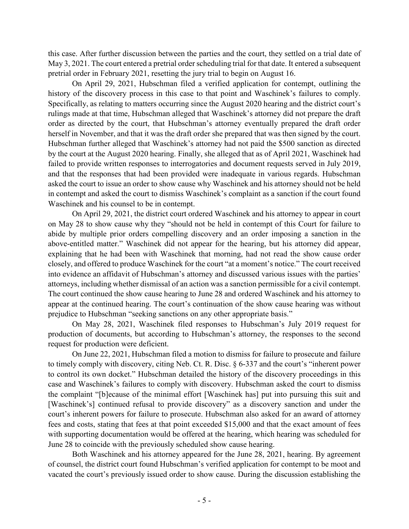this case. After further discussion between the parties and the court, they settled on a trial date of May 3, 2021. The court entered a pretrial order scheduling trial for that date. It entered a subsequent pretrial order in February 2021, resetting the jury trial to begin on August 16.

On April 29, 2021, Hubschman filed a verified application for contempt, outlining the history of the discovery process in this case to that point and Waschinek's failures to comply. Specifically, as relating to matters occurring since the August 2020 hearing and the district court's rulings made at that time, Hubschman alleged that Waschinek's attorney did not prepare the draft order as directed by the court, that Hubschman's attorney eventually prepared the draft order herself in November, and that it was the draft order she prepared that was then signed by the court. Hubschman further alleged that Waschinek's attorney had not paid the \$500 sanction as directed by the court at the August 2020 hearing. Finally, she alleged that as of April 2021, Waschinek had failed to provide written responses to interrogatories and document requests served in July 2019, and that the responses that had been provided were inadequate in various regards. Hubschman asked the court to issue an order to show cause why Waschinek and his attorney should not be held in contempt and asked the court to dismiss Waschinek's complaint as a sanction if the court found Waschinek and his counsel to be in contempt.

On April 29, 2021, the district court ordered Waschinek and his attorney to appear in court on May 28 to show cause why they "should not be held in contempt of this Court for failure to abide by multiple prior orders compelling discovery and an order imposing a sanction in the above-entitled matter." Waschinek did not appear for the hearing, but his attorney did appear, explaining that he had been with Waschinek that morning, had not read the show cause order closely, and offered to produce Waschinek for the court "at a moment's notice." The court received into evidence an affidavit of Hubschman's attorney and discussed various issues with the parties' attorneys, including whether dismissal of an action was a sanction permissible for a civil contempt. The court continued the show cause hearing to June 28 and ordered Waschinek and his attorney to appear at the continued hearing. The court's continuation of the show cause hearing was without prejudice to Hubschman "seeking sanctions on any other appropriate basis."

On May 28, 2021, Waschinek filed responses to Hubschman's July 2019 request for production of documents, but according to Hubschman's attorney, the responses to the second request for production were deficient.

On June 22, 2021, Hubschman filed a motion to dismiss for failure to prosecute and failure to timely comply with discovery, citing Neb. Ct. R. Disc. § 6-337 and the court's "inherent power to control its own docket." Hubschman detailed the history of the discovery proceedings in this case and Waschinek's failures to comply with discovery. Hubschman asked the court to dismiss the complaint "[b]ecause of the minimal effort [Waschinek has] put into pursuing this suit and [Waschinek's] continued refusal to provide discovery" as a discovery sanction and under the court's inherent powers for failure to prosecute. Hubschman also asked for an award of attorney fees and costs, stating that fees at that point exceeded \$15,000 and that the exact amount of fees with supporting documentation would be offered at the hearing, which hearing was scheduled for June 28 to coincide with the previously scheduled show cause hearing.

Both Waschinek and his attorney appeared for the June 28, 2021, hearing. By agreement of counsel, the district court found Hubschman's verified application for contempt to be moot and vacated the court's previously issued order to show cause. During the discussion establishing the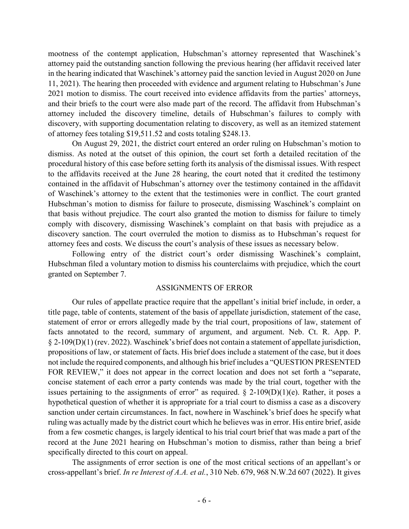mootness of the contempt application, Hubschman's attorney represented that Waschinek's attorney paid the outstanding sanction following the previous hearing (her affidavit received later in the hearing indicated that Waschinek's attorney paid the sanction levied in August 2020 on June 11, 2021). The hearing then proceeded with evidence and argument relating to Hubschman's June 2021 motion to dismiss. The court received into evidence affidavits from the parties' attorneys, and their briefs to the court were also made part of the record. The affidavit from Hubschman's attorney included the discovery timeline, details of Hubschman's failures to comply with discovery, with supporting documentation relating to discovery, as well as an itemized statement of attorney fees totaling \$19,511.52 and costs totaling \$248.13.

On August 29, 2021, the district court entered an order ruling on Hubschman's motion to dismiss. As noted at the outset of this opinion, the court set forth a detailed recitation of the procedural history of this case before setting forth its analysis of the dismissal issues. With respect to the affidavits received at the June 28 hearing, the court noted that it credited the testimony contained in the affidavit of Hubschman's attorney over the testimony contained in the affidavit of Waschinek's attorney to the extent that the testimonies were in conflict. The court granted Hubschman's motion to dismiss for failure to prosecute, dismissing Waschinek's complaint on that basis without prejudice. The court also granted the motion to dismiss for failure to timely comply with discovery, dismissing Waschinek's complaint on that basis with prejudice as a discovery sanction. The court overruled the motion to dismiss as to Hubschman's request for attorney fees and costs. We discuss the court's analysis of these issues as necessary below.

Following entry of the district court's order dismissing Waschinek's complaint, Hubschman filed a voluntary motion to dismiss his counterclaims with prejudice, which the court granted on September 7.

#### ASSIGNMENTS OF ERROR

Our rules of appellate practice require that the appellant's initial brief include, in order, a title page, table of contents, statement of the basis of appellate jurisdiction, statement of the case, statement of error or errors allegedly made by the trial court, propositions of law, statement of facts annotated to the record, summary of argument, and argument. Neb. Ct. R. App. P. § 2-109(D)(1) (rev. 2022). Waschinek's brief does not contain a statement of appellate jurisdiction, propositions of law, or statement of facts. His brief does include a statement of the case, but it does not include the required components, and although his brief includes a "QUESTION PRESENTED FOR REVIEW," it does not appear in the correct location and does not set forth a "separate, concise statement of each error a party contends was made by the trial court, together with the issues pertaining to the assignments of error" as required.  $\S$  2-109(D)(1)(e). Rather, it poses a hypothetical question of whether it is appropriate for a trial court to dismiss a case as a discovery sanction under certain circumstances. In fact, nowhere in Waschinek's brief does he specify what ruling was actually made by the district court which he believes was in error. His entire brief, aside from a few cosmetic changes, is largely identical to his trial court brief that was made a part of the record at the June 2021 hearing on Hubschman's motion to dismiss, rather than being a brief specifically directed to this court on appeal.

The assignments of error section is one of the most critical sections of an appellant's or cross-appellant's brief. *In re Interest of A.A. et al.*, 310 Neb. 679, 968 N.W.2d 607 (2022). It gives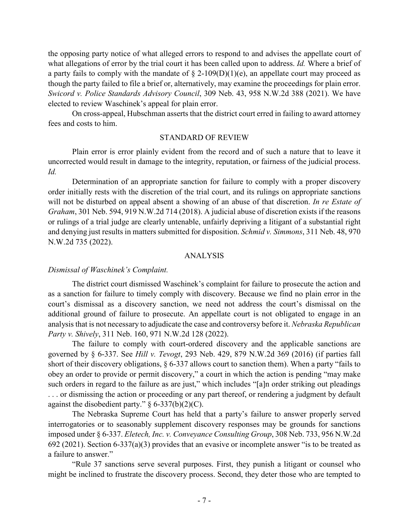the opposing party notice of what alleged errors to respond to and advises the appellate court of what allegations of error by the trial court it has been called upon to address. *Id.* Where a brief of a party fails to comply with the mandate of  $\S$  2-109(D)(1)(e), an appellate court may proceed as though the party failed to file a brief or, alternatively, may examine the proceedings for plain error. *Swicord v. Police Standards Advisory Council*, 309 Neb. 43, 958 N.W.2d 388 (2021). We have elected to review Waschinek's appeal for plain error.

On cross-appeal, Hubschman asserts that the district court erred in failing to award attorney fees and costs to him.

#### STANDARD OF REVIEW

Plain error is error plainly evident from the record and of such a nature that to leave it uncorrected would result in damage to the integrity, reputation, or fairness of the judicial process. *Id.*

Determination of an appropriate sanction for failure to comply with a proper discovery order initially rests with the discretion of the trial court, and its rulings on appropriate sanctions will not be disturbed on appeal absent a showing of an abuse of that discretion. *In re Estate of Graham*, 301 Neb. 594, 919 N.W.2d 714 (2018). A judicial abuse of discretion exists if the reasons or rulings of a trial judge are clearly untenable, unfairly depriving a litigant of a substantial right and denying just results in matters submitted for disposition. *Schmid v. Simmons*, 311 Neb. 48, 970 N.W.2d 735 (2022).

### ANALYSIS

#### *Dismissal of Waschinek's Complaint.*

The district court dismissed Waschinek's complaint for failure to prosecute the action and as a sanction for failure to timely comply with discovery. Because we find no plain error in the court's dismissal as a discovery sanction, we need not address the court's dismissal on the additional ground of failure to prosecute. An appellate court is not obligated to engage in an analysis that is not necessary to adjudicate the case and controversy before it. *Nebraska Republican Party v. Shively*, 311 Neb. 160, 971 N.W.2d 128 (2022).

The failure to comply with court-ordered discovery and the applicable sanctions are governed by § 6-337. See *Hill v. Tevogt*, 293 Neb. 429, 879 N.W.2d 369 (2016) (if parties fall short of their discovery obligations, § 6-337 allows court to sanction them). When a party "fails to obey an order to provide or permit discovery," a court in which the action is pending "may make such orders in regard to the failure as are just," which includes "[a]n order striking out pleadings ... or dismissing the action or proceeding or any part thereof, or rendering a judgment by default against the disobedient party."  $\S 6-337(b)(2)(C)$ .

The Nebraska Supreme Court has held that a party's failure to answer properly served interrogatories or to seasonably supplement discovery responses may be grounds for sanctions imposed under § 6-337. *Eletech, Inc. v. Conveyance Consulting Group*, 308 Neb. 733, 956 N.W.2d 692 (2021). Section 6-337(a)(3) provides that an evasive or incomplete answer "is to be treated as a failure to answer."

"Rule 37 sanctions serve several purposes. First, they punish a litigant or counsel who might be inclined to frustrate the discovery process. Second, they deter those who are tempted to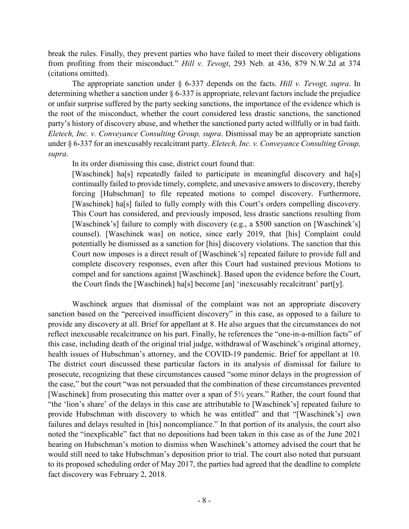break the rules. Finally, they prevent parties who have failed to meet their discovery obligations from profiting from their misconduct." *Hill v. Tevogt*, 293 Neb. at 436, 879 N.W.2d at 374 (citations omitted).

The appropriate sanction under § 6-337 depends on the facts. *Hill v. Tevogt, supra*. In determining whether a sanction under § 6-337 is appropriate, relevant factors include the prejudice or unfair surprise suffered by the party seeking sanctions, the importance of the evidence which is the root of the misconduct, whether the court considered less drastic sanctions, the sanctioned party's history of discovery abuse, and whether the sanctioned party acted willfully or in bad faith. *Eletech, Inc. v. Conveyance Consulting Group, supra*. Dismissal may be an appropriate sanction under § 6-337 for an inexcusably recalcitrant party. *Eletech, Inc. v. Conveyance Consulting Group, supra*.

In its order dismissing this case, district court found that:

[Waschinek] ha<sup>[s]</sup> repeatedly failed to participate in meaningful discovery and ha<sup>[s]</sup> continually failed to provide timely, complete, and unevasive answers to discovery, thereby forcing [Hubschman] to file repeated motions to compel discovery. Furthermore, [Waschinek] ha[s] failed to fully comply with this Court's orders compelling discovery. This Court has considered, and previously imposed, less drastic sanctions resulting from [Waschinek's] failure to comply with discovery (e.g., a \$500 sanction on [Waschinek's] counsel). [Waschinek was] on notice, since early 2019, that [his] Complaint could potentially be dismissed as a sanction for [his] discovery violations. The sanction that this Court now imposes is a direct result of [Waschinek's] repeated failure to provide full and complete discovery responses, even after this Court had sustained previous Motions to compel and for sanctions against [Waschinek]. Based upon the evidence before the Court, the Court finds the [Waschinek] ha[s] become [an] 'inexcusably recalcitrant' part[y].

Waschinek argues that dismissal of the complaint was not an appropriate discovery sanction based on the "perceived insufficient discovery" in this case, as opposed to a failure to provide any discovery at all. Brief for appellant at 8. He also argues that the circumstances do not reflect inexcusable recalcitrance on his part. Finally, he references the "one-in-a-million facts" of this case, including death of the original trial judge, withdrawal of Waschinek's original attorney, health issues of Hubschman's attorney, and the COVID-19 pandemic. Brief for appellant at 10. The district court discussed these particular factors in its analysis of dismissal for failure to prosecute, recognizing that these circumstances caused "some minor delays in the progression of the case," but the court "was not persuaded that the combination of these circumstances prevented [Waschinek] from prosecuting this matter over a span of 5<sup>1/2</sup> years." Rather, the court found that "the 'lion's share' of the delays in this case are attributable to [Waschinek's] repeated failure to provide Hubschman with discovery to which he was entitled" and that "[Waschinek's] own failures and delays resulted in [his] noncompliance." In that portion of its analysis, the court also noted the "inexplicable" fact that no depositions had been taken in this case as of the June 2021 hearing on Hubschman's motion to dismiss when Waschinek's attorney advised the court that he would still need to take Hubschman's deposition prior to trial. The court also noted that pursuant to its proposed scheduling order of May 2017, the parties had agreed that the deadline to complete fact discovery was February 2, 2018.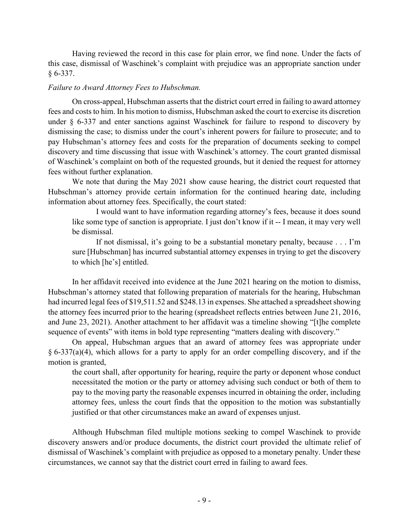Having reviewed the record in this case for plain error, we find none. Under the facts of this case, dismissal of Waschinek's complaint with prejudice was an appropriate sanction under § 6-337.

# *Failure to Award Attorney Fees to Hubschman.*

On cross-appeal, Hubschman asserts that the district court erred in failing to award attorney fees and costs to him. In his motion to dismiss, Hubschman asked the court to exercise its discretion under § 6-337 and enter sanctions against Waschinek for failure to respond to discovery by dismissing the case; to dismiss under the court's inherent powers for failure to prosecute; and to pay Hubschman's attorney fees and costs for the preparation of documents seeking to compel discovery and time discussing that issue with Waschinek's attorney. The court granted dismissal of Waschinek's complaint on both of the requested grounds, but it denied the request for attorney fees without further explanation.

We note that during the May 2021 show cause hearing, the district court requested that Hubschman's attorney provide certain information for the continued hearing date, including information about attorney fees. Specifically, the court stated:

I would want to have information regarding attorney's fees, because it does sound like some type of sanction is appropriate. I just don't know if it -- I mean, it may very well be dismissal.

If not dismissal, it's going to be a substantial monetary penalty, because . . . I'm sure [Hubschman] has incurred substantial attorney expenses in trying to get the discovery to which [he's] entitled.

In her affidavit received into evidence at the June 2021 hearing on the motion to dismiss, Hubschman's attorney stated that following preparation of materials for the hearing, Hubschman had incurred legal fees of \$19,511.52 and \$248.13 in expenses. She attached a spreadsheet showing the attorney fees incurred prior to the hearing (spreadsheet reflects entries between June 21, 2016, and June 23, 2021). Another attachment to her affidavit was a timeline showing "[t]he complete sequence of events" with items in bold type representing "matters dealing with discovery."

On appeal, Hubschman argues that an award of attorney fees was appropriate under § 6-337(a)(4), which allows for a party to apply for an order compelling discovery, and if the motion is granted,

the court shall, after opportunity for hearing, require the party or deponent whose conduct necessitated the motion or the party or attorney advising such conduct or both of them to pay to the moving party the reasonable expenses incurred in obtaining the order, including attorney fees, unless the court finds that the opposition to the motion was substantially justified or that other circumstances make an award of expenses unjust.

Although Hubschman filed multiple motions seeking to compel Waschinek to provide discovery answers and/or produce documents, the district court provided the ultimate relief of dismissal of Waschinek's complaint with prejudice as opposed to a monetary penalty. Under these circumstances, we cannot say that the district court erred in failing to award fees.